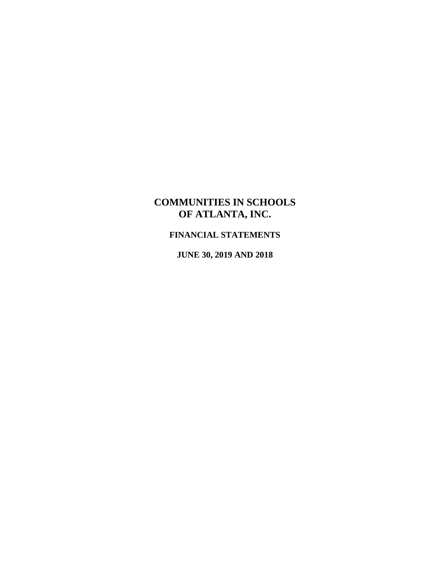## **FINANCIAL STATEMENTS**

**JUNE 30, 2019 AND 2018**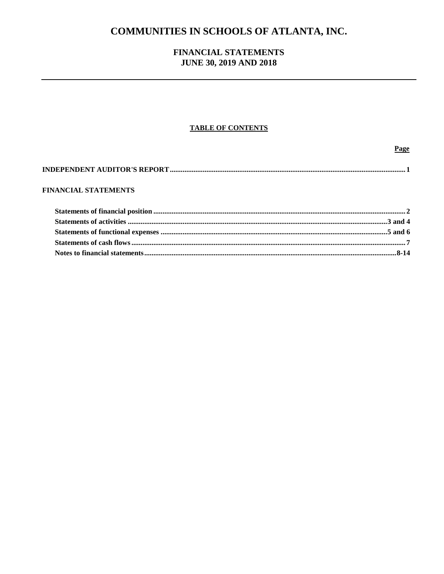## **FINANCIAL STATEMENTS JUNE 30, 2019 AND 2018**

#### **TABLE OF CONTENTS**

# Page

#### 

#### FINANCIAL STATEMENTS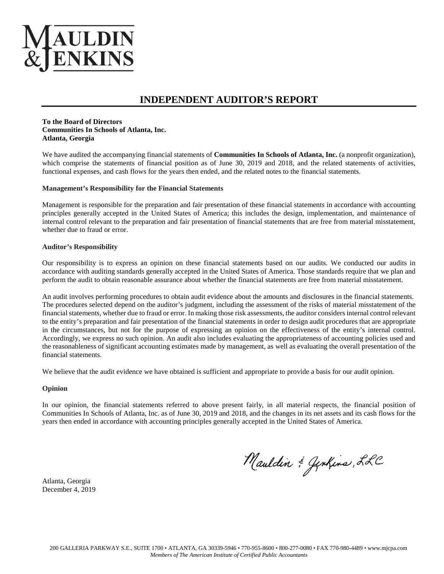

## **INDEPENDENT AUDITOR'S REPORT**

#### **To the Board of Directors Communities In Schools of Atlanta, Inc. Atlanta, Georgia**

We have audited the accompanying financial statements of **Communities In Schools of Atlanta, Inc.** (a nonprofit organization), which comprise the statements of financial position as of June 30, 2019 and 2018, and the related statements of activities, functional expenses, and cash flows for the years then ended, and the related notes to the financial statements.

#### **Management's Responsibility for the Financial Statements**

Management is responsible for the preparation and fair presentation of these financial statements in accordance with accounting principles generally accepted in the United States of America; this includes the design, implementation, and maintenance of internal control relevant to the preparation and fair presentation of financial statements that are free from material misstatement, whether due to fraud or error.

#### **Auditor's Responsibility**

Our responsibility is to express an opinion on these financial statements based on our audits. We conducted our audits in accordance with auditing standards generally accepted in the United States of America. Those standards require that we plan and perform the audit to obtain reasonable assurance about whether the financial statements are free from material misstatement.

An audit involves performing procedures to obtain audit evidence about the amounts and disclosures in the financial statements. The procedures selected depend on the auditor's judgment, including the assessment of the risks of material misstatement of the financial statements, whether due to fraud or error. In making those risk assessments, the auditor considers internal control relevant to the entity's preparation and fair presentation of the financial statements in order to design audit procedures that are appropriate in the circumstances, but not for the purpose of expressing an opinion on the effectiveness of the entity's internal control. Accordingly, we express no such opinion. An audit also includes evaluating the appropriateness of accounting policies used and the reasonableness of significant accounting estimates made by management, as well as evaluating the overall presentation of the financial statements.

We believe that the audit evidence we have obtained is sufficient and appropriate to provide a basis for our audit opinion.

#### **Opinion**

In our opinion, the financial statements referred to above present fairly, in all material respects, the financial position of Communities In Schools of Atlanta, Inc. as of June 30, 2019 and 2018, and the changes in its net assets and its cash flows for the years then ended in accordance with accounting principles generally accepted in the United States of America.

Mauldin & Genhins, LLC

Atlanta, Georgia December 4, 2019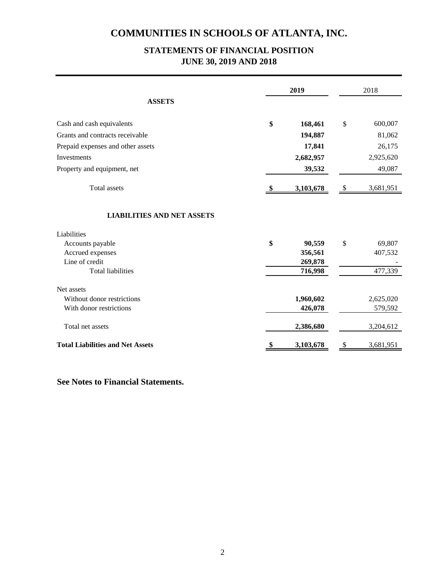## **STATEMENTS OF FINANCIAL POSITION JUNE 30, 2019 AND 2018**

|                                         | 2019          | 2018            |
|-----------------------------------------|---------------|-----------------|
| <b>ASSETS</b>                           |               |                 |
| Cash and cash equivalents               | \$<br>168,461 | \$<br>600,007   |
| Grants and contracts receivable         | 194,887       | 81,062          |
| Prepaid expenses and other assets       | 17,841        | 26,175          |
| Investments                             | 2,682,957     | 2,925,620       |
| Property and equipment, net             | 39,532        | 49,087          |
| Total assets                            | 3,103,678     | 3,681,951       |
| <b>LIABILITIES AND NET ASSETS</b>       |               |                 |
| Liabilities                             |               |                 |
| Accounts payable                        | \$<br>90,559  | \$<br>69,807    |
| Accrued expenses                        | 356,561       | 407,532         |
| Line of credit                          | 269,878       |                 |
| <b>Total liabilities</b>                | 716,998       | 477,339         |
| Net assets                              |               |                 |
| Without donor restrictions              | 1,960,602     | 2,625,020       |
| With donor restrictions                 | 426,078       | 579,592         |
| Total net assets                        | 2,386,680     | 3,204,612       |
| <b>Total Liabilities and Net Assets</b> | 3,103,678     | \$<br>3,681,951 |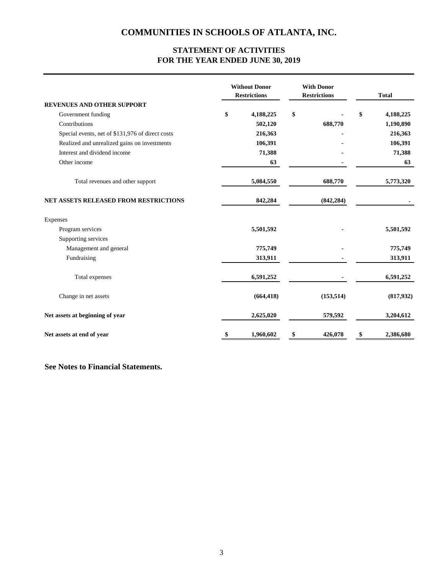## **STATEMENT OF ACTIVITIES FOR THE YEAR ENDED JUNE 30, 2019**

|                                                  | <b>Without Donor</b><br><b>Restrictions</b> |            | <b>With Donor</b><br><b>Restrictions</b> |            | <b>Total</b> |            |
|--------------------------------------------------|---------------------------------------------|------------|------------------------------------------|------------|--------------|------------|
| REVENUES AND OTHER SUPPORT                       |                                             |            |                                          |            |              |            |
| Government funding                               | \$                                          | 4,188,225  | \$                                       |            | \$           | 4,188,225  |
| Contributions                                    |                                             | 502,120    |                                          | 688,770    |              | 1,190,890  |
| Special events, net of \$131,976 of direct costs |                                             | 216,363    |                                          |            |              | 216,363    |
| Realized and unrealized gains on investments     |                                             | 106,391    |                                          |            |              | 106,391    |
| Interest and dividend income                     |                                             | 71,388     |                                          |            |              | 71,388     |
| Other income                                     |                                             | 63         |                                          |            |              | 63         |
| Total revenues and other support                 |                                             | 5,084,550  |                                          | 688,770    |              | 5,773,320  |
| NET ASSETS RELEASED FROM RESTRICTIONS            |                                             | 842,284    |                                          | (842, 284) |              |            |
| Expenses                                         |                                             |            |                                          |            |              |            |
| Program services                                 |                                             | 5,501,592  |                                          |            |              | 5,501,592  |
| Supporting services                              |                                             |            |                                          |            |              |            |
| Management and general                           |                                             | 775,749    |                                          |            |              | 775,749    |
| Fundraising                                      |                                             | 313,911    |                                          |            |              | 313,911    |
| Total expenses                                   |                                             | 6,591,252  |                                          |            |              | 6,591,252  |
| Change in net assets                             |                                             | (664, 418) |                                          | (153, 514) |              | (817, 932) |
| Net assets at beginning of year                  |                                             | 2,625,020  |                                          | 579,592    |              | 3,204,612  |
| Net assets at end of year                        |                                             | 1,960,602  | \$                                       | 426,078    | \$           | 2,386,680  |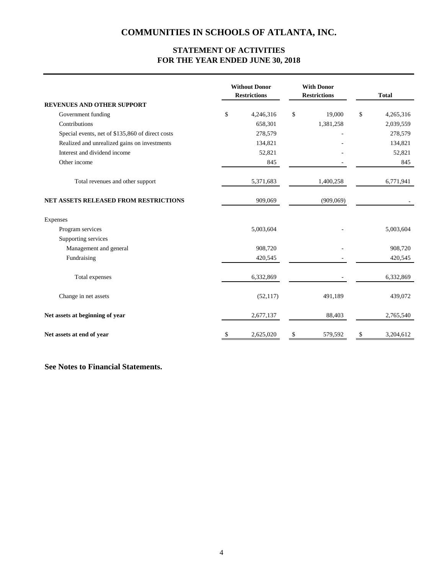## **STATEMENT OF ACTIVITIES FOR THE YEAR ENDED JUNE 30, 2018**

|                                                  | <b>Without Donor</b><br><b>Restrictions</b> |           | <b>With Donor</b><br><b>Restrictions</b> |           | <b>Total</b>    |
|--------------------------------------------------|---------------------------------------------|-----------|------------------------------------------|-----------|-----------------|
| <b>REVENUES AND OTHER SUPPORT</b>                |                                             |           |                                          |           |                 |
| Government funding                               | \$                                          | 4,246,316 | \$                                       | 19,000    | \$<br>4,265,316 |
| Contributions                                    |                                             | 658,301   |                                          | 1,381,258 | 2,039,559       |
| Special events, net of \$135,860 of direct costs |                                             | 278,579   |                                          |           | 278,579         |
| Realized and unrealized gains on investments     |                                             | 134,821   |                                          |           | 134,821         |
| Interest and dividend income                     |                                             | 52,821    |                                          |           | 52,821          |
| Other income                                     |                                             | 845       |                                          |           | 845             |
| Total revenues and other support                 |                                             | 5,371,683 |                                          | 1,400,258 | 6,771,941       |
| NET ASSETS RELEASED FROM RESTRICTIONS            |                                             | 909,069   |                                          | (909,069) |                 |
| Expenses                                         |                                             |           |                                          |           |                 |
| Program services                                 |                                             | 5,003,604 |                                          |           | 5,003,604       |
| Supporting services                              |                                             |           |                                          |           |                 |
| Management and general                           |                                             | 908,720   |                                          |           | 908,720         |
| Fundraising                                      |                                             | 420,545   |                                          |           | 420,545         |
| Total expenses                                   |                                             | 6,332,869 |                                          |           | 6,332,869       |
| Change in net assets                             |                                             | (52, 117) |                                          | 491,189   | 439,072         |
| Net assets at beginning of year                  |                                             | 2,677,137 |                                          | 88,403    | 2,765,540       |
| Net assets at end of year                        | S                                           | 2,625,020 | \$                                       | 579,592   | \$<br>3,204,612 |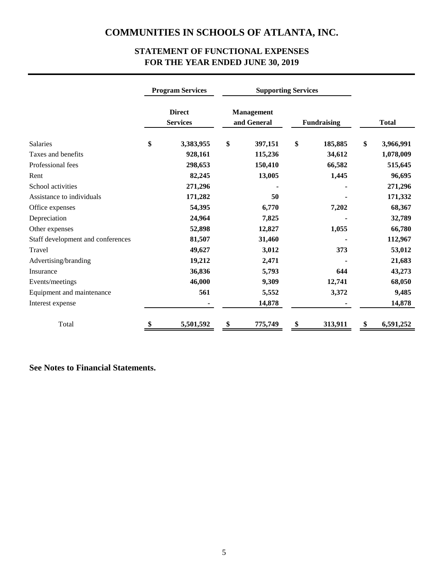## **STATEMENT OF FUNCTIONAL EXPENSES FOR THE YEAR ENDED JUNE 30, 2019**

|                                   | <b>Program Services</b>          |           |                           | <b>Supporting Services</b> |                    |         |                 |
|-----------------------------------|----------------------------------|-----------|---------------------------|----------------------------|--------------------|---------|-----------------|
|                                   | <b>Direct</b><br><b>Services</b> |           | Management<br>and General |                            | <b>Fundraising</b> |         | <b>Total</b>    |
| <b>Salaries</b>                   | \$                               | 3,383,955 | \$                        | 397,151                    | \$                 | 185,885 | \$<br>3,966,991 |
| Taxes and benefits                |                                  | 928,161   |                           | 115,236                    |                    | 34,612  | 1,078,009       |
| Professional fees                 |                                  | 298,653   |                           | 150,410                    |                    | 66,582  | 515,645         |
| Rent                              |                                  | 82,245    |                           | 13,005                     |                    | 1,445   | 96,695          |
| School activities                 |                                  | 271,296   |                           |                            |                    |         | 271,296         |
| Assistance to individuals         |                                  | 171,282   |                           | 50                         |                    |         | 171,332         |
| Office expenses                   |                                  | 54,395    |                           | 6,770                      |                    | 7,202   | 68,367          |
| Depreciation                      |                                  | 24,964    |                           | 7,825                      |                    |         | 32,789          |
| Other expenses                    |                                  | 52,898    |                           | 12,827                     |                    | 1,055   | 66,780          |
| Staff development and conferences |                                  | 81,507    |                           | 31,460                     |                    |         | 112,967         |
| Travel                            |                                  | 49,627    |                           | 3,012                      |                    | 373     | 53,012          |
| Advertising/branding              |                                  | 19,212    |                           | 2,471                      |                    |         | 21,683          |
| Insurance                         |                                  | 36,836    |                           | 5,793                      |                    | 644     | 43,273          |
| Events/meetings                   |                                  | 46,000    |                           | 9,309                      |                    | 12,741  | 68,050          |
| Equipment and maintenance         |                                  | 561       |                           | 5,552                      |                    | 3,372   | 9,485           |
| Interest expense                  |                                  |           |                           | 14,878                     |                    |         | 14,878          |
| Total                             | \$                               | 5,501,592 | \$                        | 775,749                    | \$                 | 313,911 | 6,591,252       |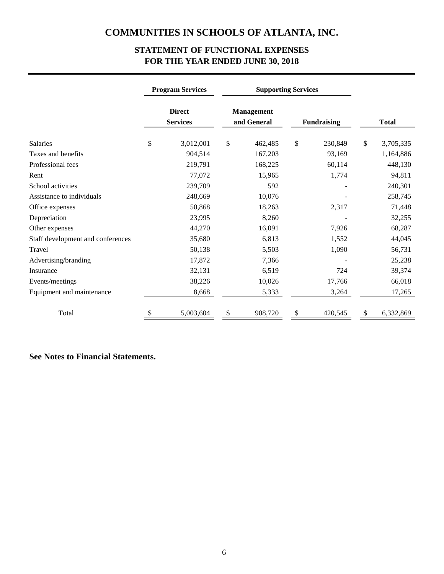## **STATEMENT OF FUNCTIONAL EXPENSES FOR THE YEAR ENDED JUNE 30, 2018**

|                                   |    | <b>Program Services</b>          |    | <b>Supporting Services</b> |    |                    |    |              |  |
|-----------------------------------|----|----------------------------------|----|----------------------------|----|--------------------|----|--------------|--|
|                                   |    | <b>Direct</b><br><b>Services</b> |    | Management<br>and General  |    | <b>Fundraising</b> |    | <b>Total</b> |  |
| <b>Salaries</b>                   | \$ | 3,012,001                        | \$ | 462,485                    | \$ | 230,849            | \$ | 3,705,335    |  |
| Taxes and benefits                |    | 904,514                          |    | 167,203                    |    | 93,169             |    | 1,164,886    |  |
| Professional fees                 |    | 219,791                          |    | 168,225                    |    | 60,114             |    | 448,130      |  |
| Rent                              |    | 77,072                           |    | 15,965                     |    | 1,774              |    | 94,811       |  |
| School activities                 |    | 239,709                          |    | 592                        |    |                    |    | 240,301      |  |
| Assistance to individuals         |    | 248,669                          |    | 10,076                     |    |                    |    | 258,745      |  |
| Office expenses                   |    | 50,868                           |    | 18,263                     |    | 2,317              |    | 71,448       |  |
| Depreciation                      |    | 23,995                           |    | 8,260                      |    |                    |    | 32,255       |  |
| Other expenses                    |    | 44,270                           |    | 16,091                     |    | 7,926              |    | 68,287       |  |
| Staff development and conferences |    | 35,680                           |    | 6,813                      |    | 1,552              |    | 44,045       |  |
| Travel                            |    | 50,138                           |    | 5,503                      |    | 1,090              |    | 56,731       |  |
| Advertising/branding              |    | 17,872                           |    | 7,366                      |    |                    |    | 25,238       |  |
| Insurance                         |    | 32,131                           |    | 6,519                      |    | 724                |    | 39,374       |  |
| Events/meetings                   |    | 38,226                           |    | 10,026                     |    | 17,766             |    | 66,018       |  |
| Equipment and maintenance         |    | 8,668                            |    | 5,333                      |    | 3,264              |    | 17,265       |  |
| Total                             | S  | 5,003,604                        | \$ | 908,720                    | \$ | 420,545            | S  | 6,332,869    |  |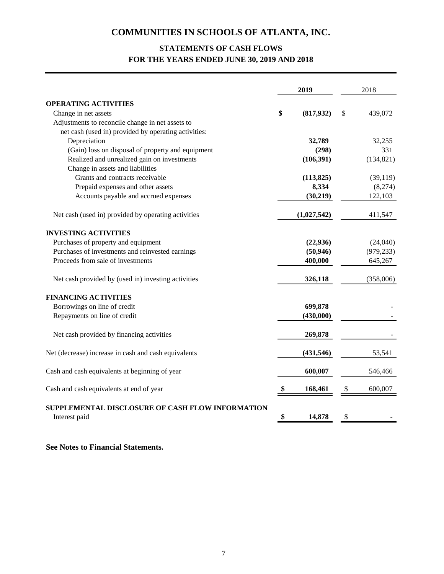## **STATEMENTS OF CASH FLOWS FOR THE YEARS ENDED JUNE 30, 2019 AND 2018**

|                                                                   | 2019            | 2018          |
|-------------------------------------------------------------------|-----------------|---------------|
| <b>OPERATING ACTIVITIES</b>                                       |                 |               |
| Change in net assets                                              | \$<br>(817,932) | \$<br>439,072 |
| Adjustments to reconcile change in net assets to                  |                 |               |
| net cash (used in) provided by operating activities:              |                 |               |
| Depreciation                                                      | 32,789          | 32,255        |
| (Gain) loss on disposal of property and equipment                 | (298)           | 331           |
| Realized and unrealized gain on investments                       | (106, 391)      | (134, 821)    |
| Change in assets and liabilities                                  |                 |               |
| Grants and contracts receivable                                   | (113, 825)      | (39, 119)     |
| Prepaid expenses and other assets                                 | 8,334           | (8,274)       |
| Accounts payable and accrued expenses                             | (30,219)        | 122,103       |
| Net cash (used in) provided by operating activities               | (1,027,542)     | 411,547       |
| <b>INVESTING ACTIVITIES</b>                                       |                 |               |
| Purchases of property and equipment                               | (22, 936)       | (24,040)      |
| Purchases of investments and reinvested earnings                  | (50, 946)       | (979, 233)    |
| Proceeds from sale of investments                                 | 400,000         | 645,267       |
| Net cash provided by (used in) investing activities               | 326,118         | (358,006)     |
| <b>FINANCING ACTIVITIES</b>                                       |                 |               |
| Borrowings on line of credit                                      | 699,878         |               |
| Repayments on line of credit                                      | (430,000)       |               |
| Net cash provided by financing activities                         | 269,878         |               |
| Net (decrease) increase in cash and cash equivalents              | (431, 546)      | 53,541        |
| Cash and cash equivalents at beginning of year                    | 600,007         | 546,466       |
| Cash and cash equivalents at end of year                          | \$<br>168,461   | \$<br>600,007 |
| SUPPLEMENTAL DISCLOSURE OF CASH FLOW INFORMATION<br>Interest paid | \$<br>14,878    | \$            |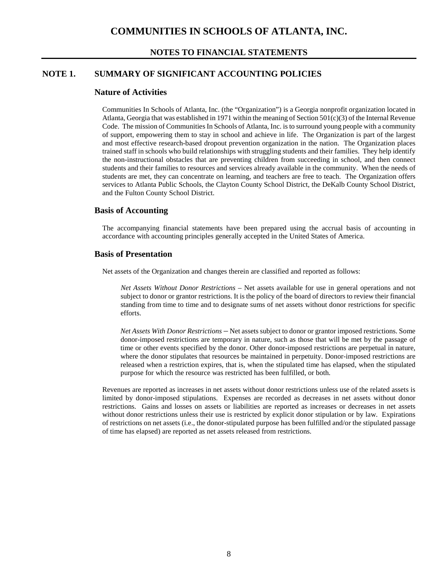#### **NOTES TO FINANCIAL STATEMENTS**

#### **NOTE 1. SUMMARY OF SIGNIFICANT ACCOUNTING POLICIES**

#### **Nature of Activities**

Communities In Schools of Atlanta, Inc. (the "Organization") is a Georgia nonprofit organization located in Atlanta, Georgia that was established in 1971 within the meaning of Section  $501(c)(3)$  of the Internal Revenue Code. The mission of Communities In Schools of Atlanta, Inc. is to surround young people with a community of support, empowering them to stay in school and achieve in life. The Organization is part of the largest and most effective research-based dropout prevention organization in the nation. The Organization places trained staff in schools who build relationships with struggling students and their families. They help identify the non-instructional obstacles that are preventing children from succeeding in school, and then connect students and their families to resources and services already available in the community. When the needs of students are met, they can concentrate on learning, and teachers are free to teach. The Organization offers services to Atlanta Public Schools, the Clayton County School District, the DeKalb County School District, and the Fulton County School District.

#### **Basis of Accounting**

The accompanying financial statements have been prepared using the accrual basis of accounting in accordance with accounting principles generally accepted in the United States of America.

#### **Basis of Presentation**

Net assets of the Organization and changes therein are classified and reported as follows:

*Net Assets Without Donor Restrictions* – Net assets available for use in general operations and not subject to donor or grantor restrictions. It is the policy of the board of directors to review their financial standing from time to time and to designate sums of net assets without donor restrictions for specific efforts.

*Net Assets With Donor Restrictions* – Net assets subject to donor or grantor imposed restrictions. Some donor-imposed restrictions are temporary in nature, such as those that will be met by the passage of time or other events specified by the donor. Other donor-imposed restrictions are perpetual in nature, where the donor stipulates that resources be maintained in perpetuity. Donor-imposed restrictions are released when a restriction expires, that is, when the stipulated time has elapsed, when the stipulated purpose for which the resource was restricted has been fulfilled, or both.

Revenues are reported as increases in net assets without donor restrictions unless use of the related assets is limited by donor-imposed stipulations. Expenses are recorded as decreases in net assets without donor restrictions. Gains and losses on assets or liabilities are reported as increases or decreases in net assets without donor restrictions unless their use is restricted by explicit donor stipulation or by law. Expirations of restrictions on net assets (i.e., the donor-stipulated purpose has been fulfilled and/or the stipulated passage of time has elapsed) are reported as net assets released from restrictions.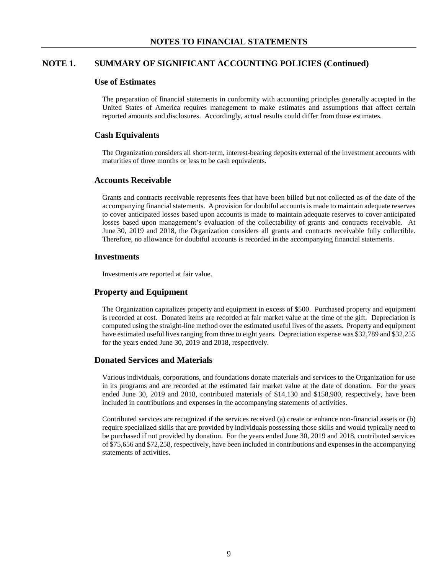### **NOTE 1. SUMMARY OF SIGNIFICANT ACCOUNTING POLICIES (Continued)**

### **Use of Estimates**

The preparation of financial statements in conformity with accounting principles generally accepted in the United States of America requires management to make estimates and assumptions that affect certain reported amounts and disclosures. Accordingly, actual results could differ from those estimates.

### **Cash Equivalents**

The Organization considers all short-term, interest-bearing deposits external of the investment accounts with maturities of three months or less to be cash equivalents.

#### **Accounts Receivable**

Grants and contracts receivable represents fees that have been billed but not collected as of the date of the accompanying financial statements. A provision for doubtful accounts is made to maintain adequate reserves to cover anticipated losses based upon accounts is made to maintain adequate reserves to cover anticipated losses based upon management's evaluation of the collectability of grants and contracts receivable. At June 30, 2019 and 2018, the Organization considers all grants and contracts receivable fully collectible. Therefore, no allowance for doubtful accounts is recorded in the accompanying financial statements.

#### **Investments**

Investments are reported at fair value.

#### **Property and Equipment**

The Organization capitalizes property and equipment in excess of \$500. Purchased property and equipment is recorded at cost. Donated items are recorded at fair market value at the time of the gift. Depreciation is computed using the straight-line method over the estimated useful lives of the assets. Property and equipment have estimated useful lives ranging from three to eight years. Depreciation expense was \$32,789 and \$32,255 for the years ended June 30, 2019 and 2018, respectively.

#### **Donated Services and Materials**

Various individuals, corporations, and foundations donate materials and services to the Organization for use in its programs and are recorded at the estimated fair market value at the date of donation. For the years ended June 30, 2019 and 2018, contributed materials of \$14,130 and \$158,980, respectively, have been included in contributions and expenses in the accompanying statements of activities.

Contributed services are recognized if the services received (a) create or enhance non-financial assets or (b) require specialized skills that are provided by individuals possessing those skills and would typically need to be purchased if not provided by donation. For the years ended June 30, 2019 and 2018, contributed services of \$75,656 and \$72,258, respectively, have been included in contributions and expenses in the accompanying statements of activities.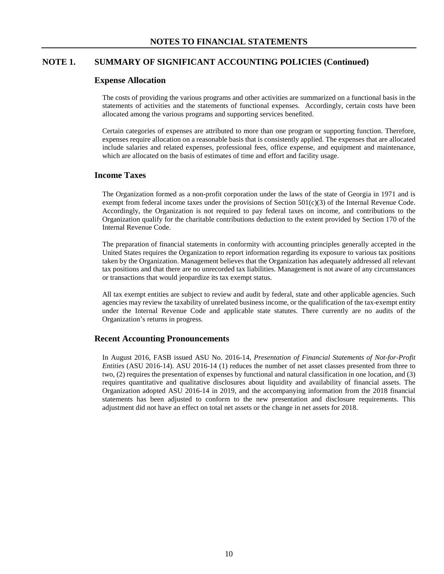### **NOTE 1. SUMMARY OF SIGNIFICANT ACCOUNTING POLICIES (Continued)**

#### **Expense Allocation**

The costs of providing the various programs and other activities are summarized on a functional basis in the statements of activities and the statements of functional expenses. Accordingly, certain costs have been allocated among the various programs and supporting services benefited.

Certain categories of expenses are attributed to more than one program or supporting function. Therefore, expenses require allocation on a reasonable basis that is consistently applied. The expenses that are allocated include salaries and related expenses, professional fees, office expense, and equipment and maintenance, which are allocated on the basis of estimates of time and effort and facility usage.

### **Income Taxes**

The Organization formed as a non-profit corporation under the laws of the state of Georgia in 1971 and is exempt from federal income taxes under the provisions of Section  $501(c)(3)$  of the Internal Revenue Code. Accordingly, the Organization is not required to pay federal taxes on income, and contributions to the Organization qualify for the charitable contributions deduction to the extent provided by Section 170 of the Internal Revenue Code.

The preparation of financial statements in conformity with accounting principles generally accepted in the United States requires the Organization to report information regarding its exposure to various tax positions taken by the Organization. Management believes that the Organization has adequately addressed all relevant tax positions and that there are no unrecorded tax liabilities. Management is not aware of any circumstances or transactions that would jeopardize its tax exempt status.

All tax exempt entities are subject to review and audit by federal, state and other applicable agencies. Such agencies may review the taxability of unrelated business income, or the qualification of the tax-exempt entity under the Internal Revenue Code and applicable state statutes. There currently are no audits of the Organization's returns in progress.

#### **Recent Accounting Pronouncements**

In August 2016, FASB issued ASU No. 2016-14, *Presentation of Financial Statements of Not-for-Profit Entities* (ASU 2016-14). ASU 2016-14 (1) reduces the number of net asset classes presented from three to two, (2) requires the presentation of expenses by functional and natural classification in one location, and (3) requires quantitative and qualitative disclosures about liquidity and availability of financial assets. The Organization adopted ASU 2016-14 in 2019, and the accompanying information from the 2018 financial statements has been adjusted to conform to the new presentation and disclosure requirements. This adjustment did not have an effect on total net assets or the change in net assets for 2018.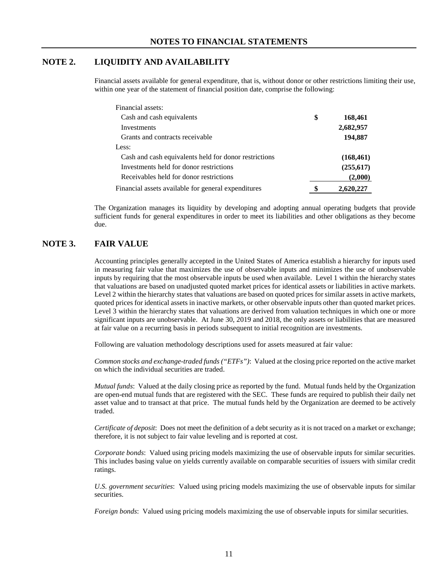### **NOTE 2. LIQUIDITY AND AVAILABILITY**

Financial assets available for general expenditure, that is, without donor or other restrictions limiting their use, within one year of the statement of financial position date, comprise the following:

| Financial assets:                                     |               |
|-------------------------------------------------------|---------------|
| Cash and cash equivalents                             | \$<br>168,461 |
| Investments                                           | 2,682,957     |
| Grants and contracts receivable                       | 194,887       |
| Less:                                                 |               |
| Cash and cash equivalents held for donor restrictions | (168, 461)    |
| Investments held for donor restrictions               | (255, 617)    |
| Receivables held for donor restrictions               | (2,000)       |
| Financial assets available for general expenditures   | 2.620.227     |

The Organization manages its liquidity by developing and adopting annual operating budgets that provide sufficient funds for general expenditures in order to meet its liabilities and other obligations as they become due.

### **NOTE 3. FAIR VALUE**

Accounting principles generally accepted in the United States of America establish a hierarchy for inputs used in measuring fair value that maximizes the use of observable inputs and minimizes the use of unobservable inputs by requiring that the most observable inputs be used when available. Level 1 within the hierarchy states that valuations are based on unadjusted quoted market prices for identical assets or liabilities in active markets. Level 2 within the hierarchy states that valuations are based on quoted prices for similar assets in active markets, quoted prices for identical assets in inactive markets, or other observable inputs other than quoted market prices. Level 3 within the hierarchy states that valuations are derived from valuation techniques in which one or more significant inputs are unobservable. At June 30, 2019 and 2018, the only assets or liabilities that are measured at fair value on a recurring basis in periods subsequent to initial recognition are investments.

Following are valuation methodology descriptions used for assets measured at fair value:

*Common stocks and exchange-traded funds ("ETFs")*: Valued at the closing price reported on the active market on which the individual securities are traded.

*Mutual funds*: Valued at the daily closing price as reported by the fund. Mutual funds held by the Organization are open-end mutual funds that are registered with the SEC. These funds are required to publish their daily net asset value and to transact at that price. The mutual funds held by the Organization are deemed to be actively traded.

*Certificate of deposit*: Does not meet the definition of a debt security as it is not traced on a market or exchange; therefore, it is not subject to fair value leveling and is reported at cost.

*Corporate bonds*: Valued using pricing models maximizing the use of observable inputs for similar securities. This includes basing value on yields currently available on comparable securities of issuers with similar credit ratings.

*U.S. government securities*: Valued using pricing models maximizing the use of observable inputs for similar securities.

*Foreign bonds*: Valued using pricing models maximizing the use of observable inputs for similar securities.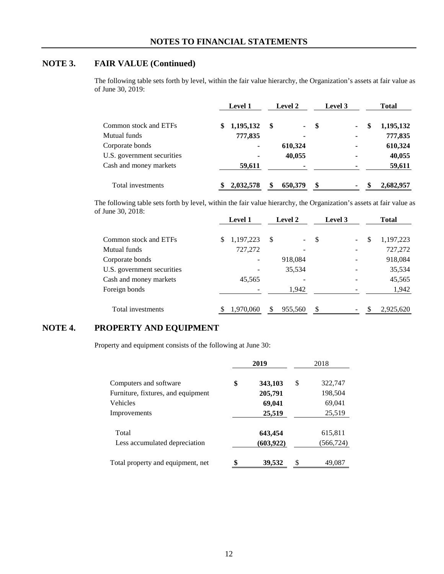### **NOTE 3. FAIR VALUE (Continued)**

The following table sets forth by level, within the fair value hierarchy, the Organization's assets at fair value as of June 30, 2019:

|                            | <b>Level 1</b> | Level 2       | Level 3   | <b>Total</b>   |  |
|----------------------------|----------------|---------------|-----------|----------------|--|
| Common stock and ETFs      | 1,195,132      | - \$          | - \$<br>۰ | 1,195,132<br>S |  |
| Mutual funds               | 777,835        | ٠             | ۰         | 777,835        |  |
| Corporate bonds            | ٠              | 610,324       | ۰         | 610,324        |  |
| U.S. government securities |                | 40,055        |           | 40,055         |  |
| Cash and money markets     | 59,611         | ٠             |           | 59,611         |  |
| Total investments          | 2,032,578      | 650,379<br>\$ | \$        | 2,682,957      |  |

The following table sets forth by level, within the fair value hierarchy, the Organization's assets at fair value as of June 30, 2018:

|                            | <b>Level 1</b> |   | <b>Level 2</b> |    | Level 3 |    | <b>Total</b> |
|----------------------------|----------------|---|----------------|----|---------|----|--------------|
| Common stock and ETFs      | 1,197,223      | S | $\sim 100$     | \$ | -       | \$ | 1,197,223    |
| Mutual funds               | 727,272        |   |                |    |         |    | 727,272      |
| Corporate bonds            |                |   | 918,084        |    |         |    | 918,084      |
| U.S. government securities |                |   | 35,534         |    |         |    | 35,534       |
| Cash and money markets     | 45,565         |   |                |    |         |    | 45,565       |
| Foreign bonds              |                |   | 1,942          |    |         |    | 1,942        |
| Total investments          | 1,970,060      |   | 955,560        | S  |         | S  | 2,925,620    |

## **NOTE 4. PROPERTY AND EQUIPMENT**

Property and equipment consists of the following at June 30:

|                                    | 2019          | 2018 |            |  |
|------------------------------------|---------------|------|------------|--|
| Computers and software             | \$<br>343,103 | \$   | 322,747    |  |
| Furniture, fixtures, and equipment | 205,791       |      | 198,504    |  |
| Vehicles                           | 69,041        |      | 69,041     |  |
| Improvements                       | 25,519        |      | 25,519     |  |
| Total                              | 643,454       |      | 615,811    |  |
| Less accumulated depreciation      | (603, 922)    |      | (566, 724) |  |
| Total property and equipment, net  | 39,532        | \$   | 49,087     |  |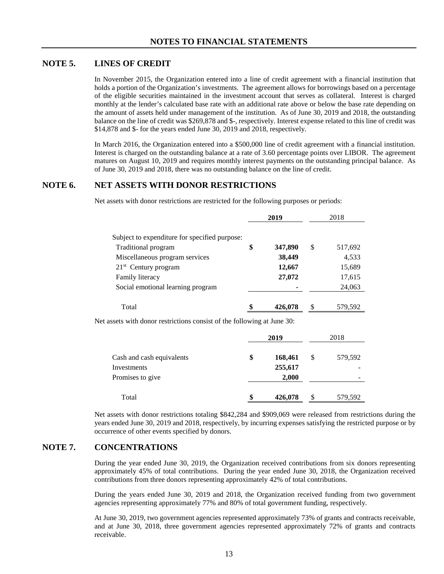### **NOTE 5. LINES OF CREDIT**

In November 2015, the Organization entered into a line of credit agreement with a financial institution that holds a portion of the Organization's investments. The agreement allows for borrowings based on a percentage of the eligible securities maintained in the investment account that serves as collateral. Interest is charged monthly at the lender's calculated base rate with an additional rate above or below the base rate depending on the amount of assets held under management of the institution. As of June 30, 2019 and 2018, the outstanding balance on the line of credit was \$269,878 and \$-, respectively. Interest expense related to this line of credit was \$14,878 and \$- for the years ended June 30, 2019 and 2018, respectively.

In March 2016, the Organization entered into a \$500,000 line of credit agreement with a financial institution. Interest is charged on the outstanding balance at a rate of 3.60 percentage points over LIBOR. The agreement matures on August 10, 2019 and requires monthly interest payments on the outstanding principal balance. As of June 30, 2019 and 2018, there was no outstanding balance on the line of credit.

### **NOTE 6. NET ASSETS WITH DONOR RESTRICTIONS**

Net assets with donor restrictions are restricted for the following purposes or periods:

|                                               | 2019          | 2018 |         |  |
|-----------------------------------------------|---------------|------|---------|--|
| Subject to expenditure for specified purpose: |               |      |         |  |
| Traditional program                           | \$<br>347,890 | \$   | 517,692 |  |
| Miscellaneous program services                | 38,449        |      | 4,533   |  |
| $21st$ Century program                        | 12,667        |      | 15,689  |  |
| Family literacy                               | 27,072        |      | 17,615  |  |
| Social emotional learning program             |               |      | 24,063  |  |
| Total                                         | 426,078       |      | 579,592 |  |

Net assets with donor restrictions consist of the following at June 30:

|                           | 2019          |    | 2018    |
|---------------------------|---------------|----|---------|
| Cash and cash equivalents | \$<br>168,461 | \$ | 579,592 |
| Investments               | 255,617       |    |         |
| Promises to give          | 2,000         |    |         |
| Total                     | 426,078       | S  | 579,592 |

Net assets with donor restrictions totaling \$842,284 and \$909,069 were released from restrictions during the years ended June 30, 2019 and 2018, respectively, by incurring expenses satisfying the restricted purpose or by occurrence of other events specified by donors.

### **NOTE 7. CONCENTRATIONS**

During the year ended June 30, 2019, the Organization received contributions from six donors representing approximately 45% of total contributions. During the year ended June 30, 2018, the Organization received contributions from three donors representing approximately 42% of total contributions.

During the years ended June 30, 2019 and 2018, the Organization received funding from two government agencies representing approximately 77% and 80% of total government funding, respectively.

At June 30, 2019, two government agencies represented approximately 73% of grants and contracts receivable, and at June 30, 2018, three government agencies represented approximately 72% of grants and contracts receivable.